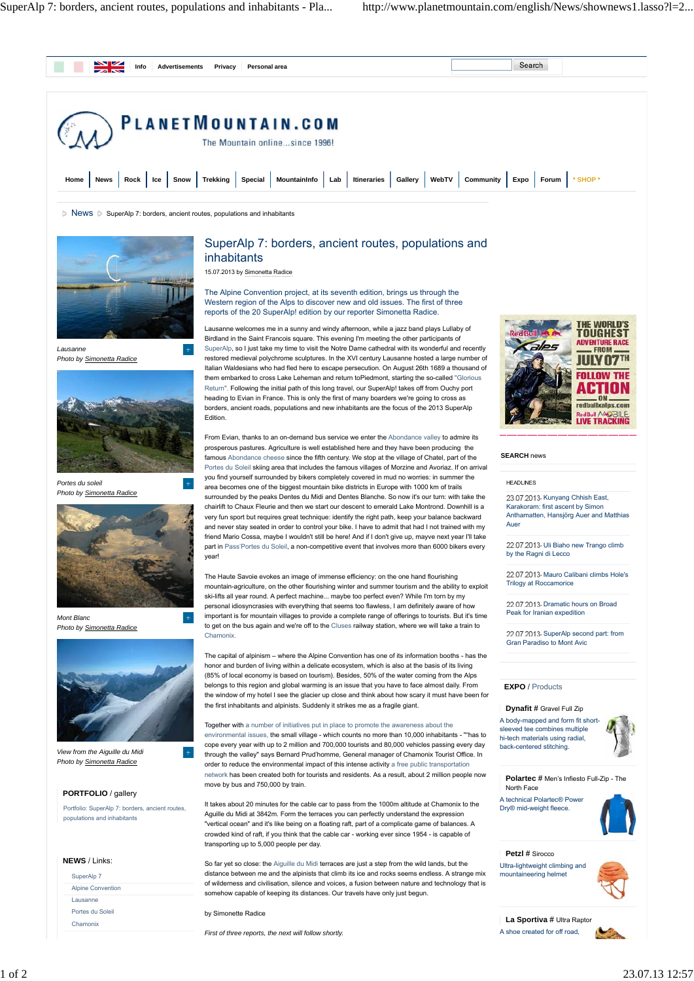